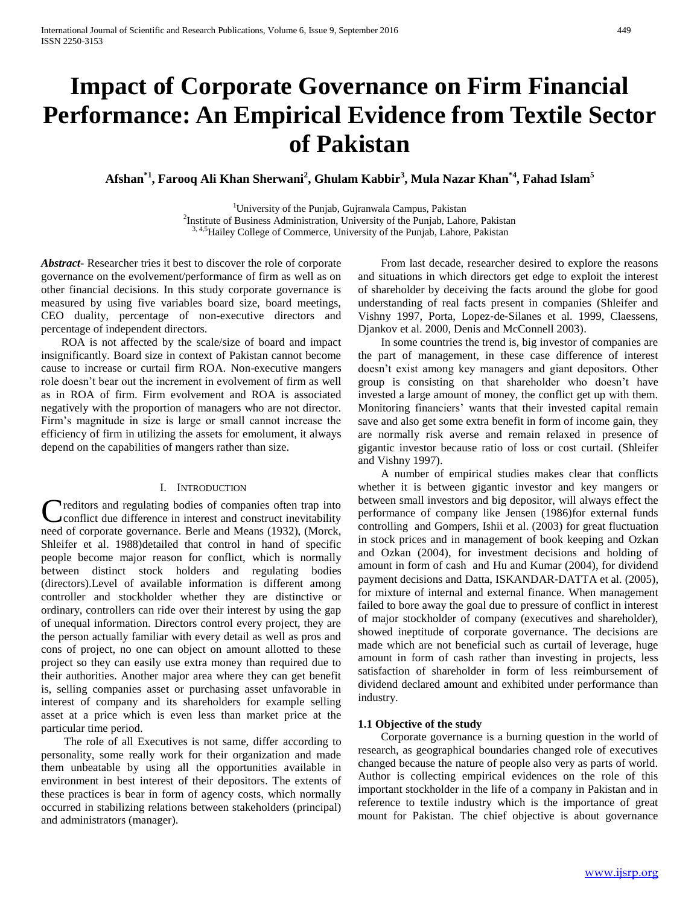# **Impact of Corporate Governance on Firm Financial Performance: An Empirical Evidence from Textile Sector of Pakistan**

**Afshan\*1 , Farooq Ali Khan Sherwani<sup>2</sup> , Ghulam Kabbir<sup>3</sup> , Mula Nazar Khan\*4, Fahad Islam<sup>5</sup>**

<sup>1</sup>University of the Punjab, Gujranwala Campus, Pakistan <sup>2</sup>Institute of Business Administration, University of the Punjab, Lahore, Pakistan <sup>3, 4,5</sup>Hailey College of Commerce, University of the Punjab, Lahore, Pakistan

*Abstract***-** Researcher tries it best to discover the role of corporate governance on the evolvement/performance of firm as well as on other financial decisions. In this study corporate governance is measured by using five variables board size, board meetings, CEO duality, percentage of non-executive directors and percentage of independent directors.

 ROA is not affected by the scale/size of board and impact insignificantly. Board size in context of Pakistan cannot become cause to increase or curtail firm ROA. Non-executive mangers role doesn't bear out the increment in evolvement of firm as well as in ROA of firm. Firm evolvement and ROA is associated negatively with the proportion of managers who are not director. Firm's magnitude in size is large or small cannot increase the efficiency of firm in utilizing the assets for emolument, it always depend on the capabilities of mangers rather than size.

## I. INTRODUCTION

Creditors and regulating bodies of companies often trap into<br>Conflict due difference in interest and construct inevitability conflict due difference in interest and construct inevitability need of corporate governance. Berle and Means (1932), (Morck, Shleifer et al. 1988)detailed that control in hand of specific people become major reason for conflict, which is normally between distinct stock holders and regulating bodies (directors).Level of available information is different among controller and stockholder whether they are distinctive or ordinary, controllers can ride over their interest by using the gap of unequal information. Directors control every project, they are the person actually familiar with every detail as well as pros and cons of project, no one can object on amount allotted to these project so they can easily use extra money than required due to their authorities. Another major area where they can get benefit is, selling companies asset or purchasing asset unfavorable in interest of company and its shareholders for example selling asset at a price which is even less than market price at the particular time period.

 The role of all Executives is not same, differ according to personality, some really work for their organization and made them unbeatable by using all the opportunities available in environment in best interest of their depositors. The extents of these practices is bear in form of agency costs, which normally occurred in stabilizing relations between stakeholders (principal) and administrators (manager).

 From last decade, researcher desired to explore the reasons and situations in which directors get edge to exploit the interest of shareholder by deceiving the facts around the globe for good understanding of real facts present in companies (Shleifer and Vishny 1997, Porta, Lopez‐de‐Silanes et al. 1999, Claessens, Djankov et al. 2000, Denis and McConnell 2003).

 In some countries the trend is, big investor of companies are the part of management, in these case difference of interest doesn't exist among key managers and giant depositors. Other group is consisting on that shareholder who doesn't have invested a large amount of money, the conflict get up with them. Monitoring financiers' wants that their invested capital remain save and also get some extra benefit in form of income gain, they are normally risk averse and remain relaxed in presence of gigantic investor because ratio of loss or cost curtail. (Shleifer and Vishny 1997).

 A number of empirical studies makes clear that conflicts whether it is between gigantic investor and key mangers or between small investors and big depositor, will always effect the performance of company like Jensen (1986)for external funds controlling and Gompers, Ishii et al. (2003) for great fluctuation in stock prices and in management of book keeping and Ozkan and Ozkan (2004), for investment decisions and holding of amount in form of cash and Hu and Kumar (2004), for dividend payment decisions and Datta, ISKANDAR‐DATTA et al. (2005), for mixture of internal and external finance. When management failed to bore away the goal due to pressure of conflict in interest of major stockholder of company (executives and shareholder), showed ineptitude of corporate governance. The decisions are made which are not beneficial such as curtail of leverage, huge amount in form of cash rather than investing in projects, less satisfaction of shareholder in form of less reimbursement of dividend declared amount and exhibited under performance than industry.

#### **1.1 Objective of the study**

 Corporate governance is a burning question in the world of research, as geographical boundaries changed role of executives changed because the nature of people also very as parts of world. Author is collecting empirical evidences on the role of this important stockholder in the life of a company in Pakistan and in reference to textile industry which is the importance of great mount for Pakistan. The chief objective is about governance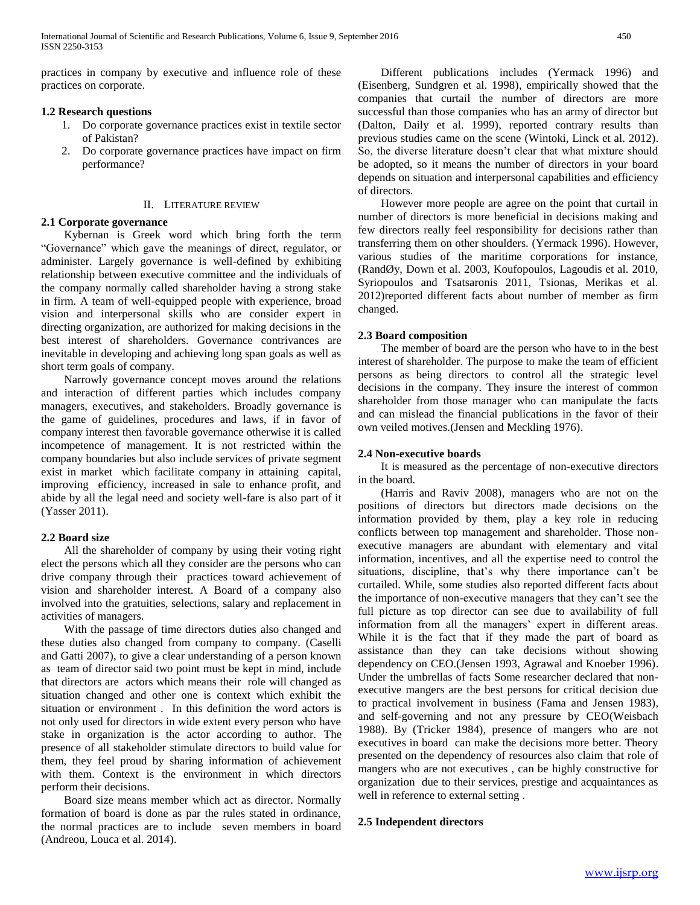practices in company by executive and influence role of these practices on corporate.

# **1.2 Research questions**

- 1. Do corporate governance practices exist in textile sector of Pakistan?
- 2. Do corporate governance practices have impact on firm performance?

# II. LITERATURE REVIEW

# **2.1 Corporate governance**

 Kybernan is Greek word which bring forth the term "Governance" which gave the meanings of direct, regulator, or administer. Largely governance is well-defined by exhibiting relationship between executive committee and the individuals of the company normally called shareholder having a strong stake in firm. A team of well-equipped people with experience, broad vision and interpersonal skills who are consider expert in directing organization, are authorized for making decisions in the best interest of shareholders. Governance contrivances are inevitable in developing and achieving long span goals as well as short term goals of company.

 Narrowly governance concept moves around the relations and interaction of different parties which includes company managers, executives, and stakeholders. Broadly governance is the game of guidelines, procedures and laws, if in favor of company interest then favorable governance otherwise it is called incompetence of management. It is not restricted within the company boundaries but also include services of private segment exist in market which facilitate company in attaining capital, improving efficiency, increased in sale to enhance profit, and abide by all the legal need and society well-fare is also part of it (Yasser 2011).

# **2.2 Board size**

 All the shareholder of company by using their voting right elect the persons which all they consider are the persons who can drive company through their practices toward achievement of vision and shareholder interest. A Board of a company also involved into the gratuities, selections, salary and replacement in activities of managers.

 With the passage of time directors duties also changed and these duties also changed from company to company. (Caselli and Gatti 2007), to give a clear understanding of a person known as team of director said two point must be kept in mind, include that directors are actors which means their role will changed as situation changed and other one is context which exhibit the situation or environment . In this definition the word actors is not only used for directors in wide extent every person who have stake in organization is the actor according to author. The presence of all stakeholder stimulate directors to build value for them, they feel proud by sharing information of achievement with them. Context is the environment in which directors perform their decisions.

 Board size means member which act as director. Normally formation of board is done as par the rules stated in ordinance, the normal practices are to include seven members in board (Andreou, Louca et al. 2014).

 Different publications includes (Yermack 1996) and (Eisenberg, Sundgren et al. 1998), empirically showed that the companies that curtail the number of directors are more successful than those companies who has an army of director but (Dalton, Daily et al. 1999), reported contrary results than previous studies came on the scene (Wintoki, Linck et al. 2012). So, the diverse literature doesn't clear that what mixture should be adopted, so it means the number of directors in your board depends on situation and interpersonal capabilities and efficiency of directors.

 However more people are agree on the point that curtail in number of directors is more beneficial in decisions making and few directors really feel responsibility for decisions rather than transferring them on other shoulders. (Yermack 1996). However, various studies of the maritime corporations for instance, (RandØy, Down et al. 2003, Koufopoulos, Lagoudis et al. 2010, Syriopoulos and Tsatsaronis 2011, Tsionas, Merikas et al. 2012)reported different facts about number of member as firm changed.

# **2.3 Board composition**

 The member of board are the person who have to in the best interest of shareholder. The purpose to make the team of efficient persons as being directors to control all the strategic level decisions in the company. They insure the interest of common shareholder from those manager who can manipulate the facts and can mislead the financial publications in the favor of their own veiled motives.(Jensen and Meckling 1976).

## **2.4 Non-executive boards**

 It is measured as the percentage of non-executive directors in the board.

 (Harris and Raviv 2008), managers who are not on the positions of directors but directors made decisions on the information provided by them, play a key role in reducing conflicts between top management and shareholder. Those nonexecutive managers are abundant with elementary and vital information, incentives, and all the expertise need to control the situations, discipline, that's why there importance can't be curtailed. While, some studies also reported different facts about the importance of non-executive managers that they can't see the full picture as top director can see due to availability of full information from all the managers' expert in different areas. While it is the fact that if they made the part of board as assistance than they can take decisions without showing dependency on CEO.(Jensen 1993, Agrawal and Knoeber 1996). Under the umbrellas of facts Some researcher declared that nonexecutive mangers are the best persons for critical decision due to practical involvement in business (Fama and Jensen 1983), and self-governing and not any pressure by CEO(Weisbach 1988). By (Tricker 1984), presence of mangers who are not executives in board can make the decisions more better. Theory presented on the dependency of resources also claim that role of mangers who are not executives , can be highly constructive for organization due to their services, prestige and acquaintances as well in reference to external setting .

# **2.5 Independent directors**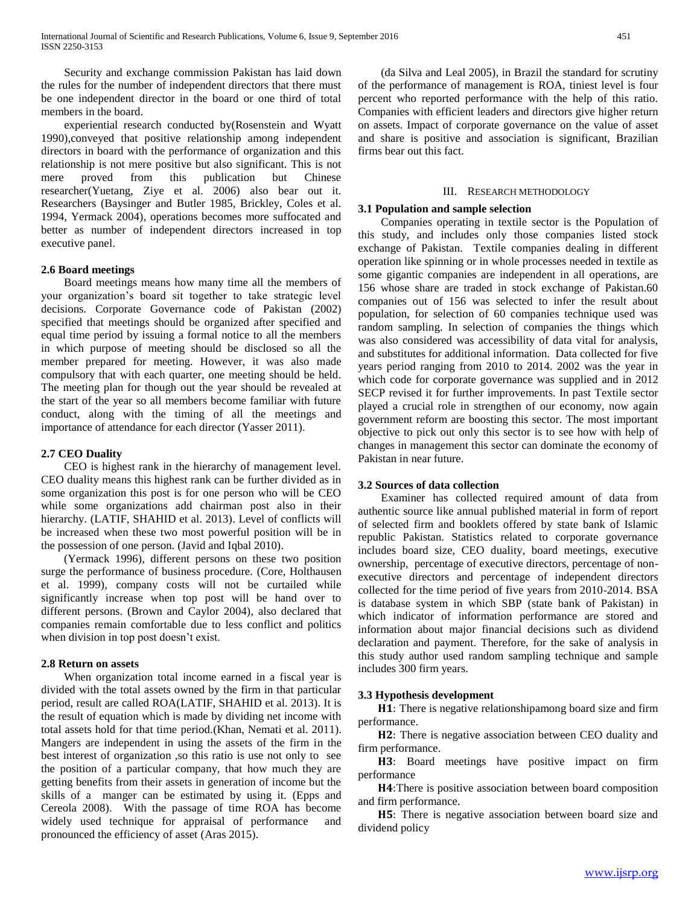Security and exchange commission Pakistan has laid down the rules for the number of independent directors that there must be one independent director in the board or one third of total members in the board.

 experiential research conducted by(Rosenstein and Wyatt 1990),conveyed that positive relationship among independent directors in board with the performance of organization and this relationship is not mere positive but also significant. This is not mere proved from this publication but Chinese researcher(Yuetang, Ziye et al. 2006) also bear out it. Researchers (Baysinger and Butler 1985, Brickley, Coles et al. 1994, Yermack 2004), operations becomes more suffocated and better as number of independent directors increased in top executive panel.

#### **2.6 Board meetings**

 Board meetings means how many time all the members of your organization's board sit together to take strategic level decisions. Corporate Governance code of Pakistan (2002) specified that meetings should be organized after specified and equal time period by issuing a formal notice to all the members in which purpose of meeting should be disclosed so all the member prepared for meeting. However, it was also made compulsory that with each quarter, one meeting should be held. The meeting plan for though out the year should be revealed at the start of the year so all members become familiar with future conduct, along with the timing of all the meetings and importance of attendance for each director (Yasser 2011).

## **2.7 CEO Duality**

 CEO is highest rank in the hierarchy of management level. CEO duality means this highest rank can be further divided as in some organization this post is for one person who will be CEO while some organizations add chairman post also in their hierarchy. (LATIF, SHAHID et al. 2013). Level of conflicts will be increased when these two most powerful position will be in the possession of one person. (Javid and Iqbal 2010).

 (Yermack 1996), different persons on these two position surge the performance of business procedure. (Core, Holthausen et al. 1999), company costs will not be curtailed while significantly increase when top post will be hand over to different persons. (Brown and Caylor 2004), also declared that companies remain comfortable due to less conflict and politics when division in top post doesn't exist.

#### **2.8 Return on assets**

 When organization total income earned in a fiscal year is divided with the total assets owned by the firm in that particular period, result are called ROA(LATIF, SHAHID et al. 2013). It is the result of equation which is made by dividing net income with total assets hold for that time period.(Khan, Nemati et al. 2011). Mangers are independent in using the assets of the firm in the best interest of organization ,so this ratio is use not only to see the position of a particular company, that how much they are getting benefits from their assets in generation of income but the skills of a manger can be estimated by using it. (Epps and Cereola 2008). With the passage of time ROA has become widely used technique for appraisal of performance and pronounced the efficiency of asset (Aras 2015).

 (da Silva and Leal 2005), in Brazil the standard for scrutiny of the performance of management is ROA, tiniest level is four percent who reported performance with the help of this ratio. Companies with efficient leaders and directors give higher return on assets. Impact of corporate governance on the value of asset and share is positive and association is significant, Brazilian firms bear out this fact.

## III. RESEARCH METHODOLOGY

## **3.1 Population and sample selection**

 Companies operating in textile sector is the Population of this study, and includes only those companies listed stock exchange of Pakistan. Textile companies dealing in different operation like spinning or in whole processes needed in textile as some gigantic companies are independent in all operations, are 156 whose share are traded in stock exchange of Pakistan.60 companies out of 156 was selected to infer the result about population, for selection of 60 companies technique used was random sampling. In selection of companies the things which was also considered was accessibility of data vital for analysis, and substitutes for additional information. Data collected for five years period ranging from 2010 to 2014. 2002 was the year in which code for corporate governance was supplied and in 2012 SECP revised it for further improvements. In past Textile sector played a crucial role in strengthen of our economy, now again government reform are boosting this sector. The most important objective to pick out only this sector is to see how with help of changes in management this sector can dominate the economy of Pakistan in near future.

#### **3.2 Sources of data collection**

 Examiner has collected required amount of data from authentic source like annual published material in form of report of selected firm and booklets offered by state bank of Islamic republic Pakistan. Statistics related to corporate governance includes board size, CEO duality, board meetings, executive ownership, percentage of executive directors, percentage of nonexecutive directors and percentage of independent directors collected for the time period of five years from 2010-2014. BSA is database system in which SBP (state bank of Pakistan) in which indicator of information performance are stored and information about major financial decisions such as dividend declaration and payment. Therefore, for the sake of analysis in this study author used random sampling technique and sample includes 300 firm years.

#### **3.3 Hypothesis development**

H1: There is negative relationshipamong board size and firm performance.

H2: There is negative association between CEO duality and firm performance.

: Board meetings have positive impact on firm performance

H4: There is positive association between board composition and firm performance.

: There is negative association between board size and dividend policy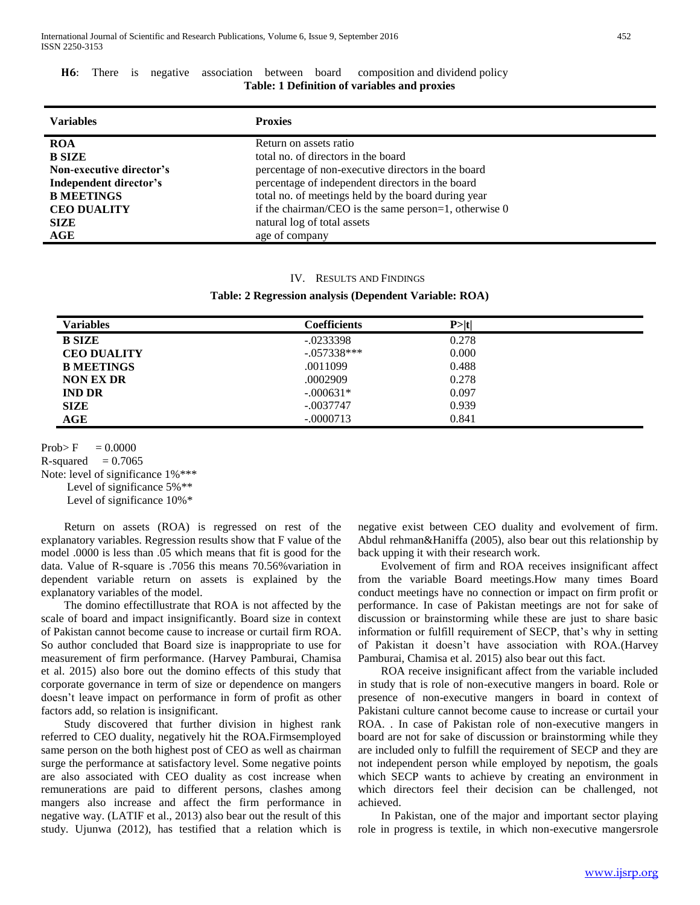|  |                                              |  |  |  | <b>H6:</b> There is negative association between board composition and dividend policy |  |  |
|--|----------------------------------------------|--|--|--|----------------------------------------------------------------------------------------|--|--|
|  | Table: 1 Definition of variables and proxies |  |  |  |                                                                                        |  |  |

| <b>Variables</b>         | <b>Proxies</b>                                          |
|--------------------------|---------------------------------------------------------|
| <b>ROA</b>               | Return on assets ratio                                  |
| <b>B SIZE</b>            | total no. of directors in the board                     |
| Non-executive director's | percentage of non-executive directors in the board      |
| Independent director's   | percentage of independent directors in the board        |
| <b>B MEETINGS</b>        | total no. of meetings held by the board during year     |
| <b>CEO DUALITY</b>       | if the chairman/CEO is the same person=1, otherwise $0$ |
| <b>SIZE</b>              | natural log of total assets                             |
| AGE                      | age of company                                          |

#### IV. RESULTS AND FINDINGS

**Table: 2 Regression analysis (Dependent Variable: ROA)**

| Variables          | <b>Coefficients</b> | P >  t |  |
|--------------------|---------------------|--------|--|
| <b>B SIZE</b>      | $-.0233398$         | 0.278  |  |
| <b>CEO DUALITY</b> | $-.057338***$       | 0.000  |  |
| <b>B MEETINGS</b>  | .0011099            | 0.488  |  |
| <b>NON EX DR</b>   | .0002909            | 0.278  |  |
| <b>IND DR</b>      | $-.000631*$         | 0.097  |  |
| <b>SIZE</b>        | $-.0037747$         | 0.939  |  |
| AGE                | $-.0000713$         | 0.841  |  |

 $Prob>E = 0.0000$ 

R-squared  $= 0.7065$ 

Note: level of significance  $1\%$ \*\*\*

Level of significance 5%\*\*

Level of significance 10%\*

 Return on assets (ROA) is regressed on rest of the explanatory variables. Regression results show that F value of the model .0000 is less than .05 which means that fit is good for the data. Value of R-square is .7056 this means 70.56%variation in dependent variable return on assets is explained by the explanatory variables of the model.

 The domino effectillustrate that ROA is not affected by the scale of board and impact insignificantly. Board size in context of Pakistan cannot become cause to increase or curtail firm ROA. So author concluded that Board size is inappropriate to use for measurement of firm performance. (Harvey Pamburai, Chamisa et al. 2015) also bore out the domino effects of this study that corporate governance in term of size or dependence on mangers doesn't leave impact on performance in form of profit as other factors add, so relation is insignificant.

 Study discovered that further division in highest rank referred to CEO duality, negatively hit the ROA.Firmsemployed same person on the both highest post of CEO as well as chairman surge the performance at satisfactory level. Some negative points are also associated with CEO duality as cost increase when remunerations are paid to different persons, clashes among mangers also increase and affect the firm performance in negative way. (LATIF et al., 2013) also bear out the result of this study. Ujunwa (2012), has testified that a relation which is

negative exist between CEO duality and evolvement of firm. Abdul rehman&Haniffa (2005), also bear out this relationship by back upping it with their research work.

 Evolvement of firm and ROA receives insignificant affect from the variable Board meetings.How many times Board conduct meetings have no connection or impact on firm profit or performance. In case of Pakistan meetings are not for sake of discussion or brainstorming while these are just to share basic information or fulfill requirement of SECP, that's why in setting of Pakistan it doesn't have association with ROA.(Harvey Pamburai, Chamisa et al. 2015) also bear out this fact.

 ROA receive insignificant affect from the variable included in study that is role of non-executive mangers in board. Role or presence of non-executive mangers in board in context of Pakistani culture cannot become cause to increase or curtail your ROA. . In case of Pakistan role of non-executive mangers in board are not for sake of discussion or brainstorming while they are included only to fulfill the requirement of SECP and they are not independent person while employed by nepotism, the goals which SECP wants to achieve by creating an environment in which directors feel their decision can be challenged, not achieved.

 In Pakistan, one of the major and important sector playing role in progress is textile, in which non-executive mangersrole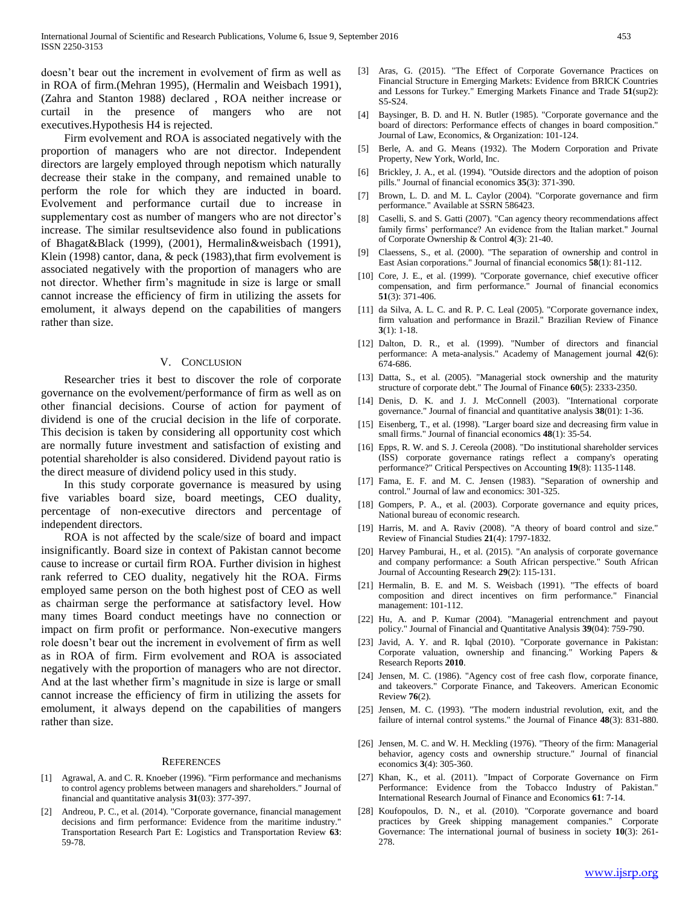doesn't bear out the increment in evolvement of firm as well as in ROA of firm.(Mehran 1995), (Hermalin and Weisbach 1991), (Zahra and Stanton 1988) declared , ROA neither increase or curtail in the presence of mangers who are not executives.Hypothesis H4 is rejected.

 Firm evolvement and ROA is associated negatively with the proportion of managers who are not director. Independent directors are largely employed through nepotism which naturally decrease their stake in the company, and remained unable to perform the role for which they are inducted in board. Evolvement and performance curtail due to increase in supplementary cost as number of mangers who are not director's increase. The similar resultsevidence also found in publications of Bhagat&Black (1999), (2001), Hermalin&weisbach (1991), Klein (1998) cantor, dana, & peck (1983),that firm evolvement is associated negatively with the proportion of managers who are not director. Whether firm's magnitude in size is large or small cannot increase the efficiency of firm in utilizing the assets for emolument, it always depend on the capabilities of mangers rather than size.

#### V. CONCLUSION

 Researcher tries it best to discover the role of corporate governance on the evolvement/performance of firm as well as on other financial decisions. Course of action for payment of dividend is one of the crucial decision in the life of corporate. This decision is taken by considering all opportunity cost which are normally future investment and satisfaction of existing and potential shareholder is also considered. Dividend payout ratio is the direct measure of dividend policy used in this study.

 In this study corporate governance is measured by using five variables board size, board meetings, CEO duality, percentage of non-executive directors and percentage of independent directors.

 ROA is not affected by the scale/size of board and impact insignificantly. Board size in context of Pakistan cannot become cause to increase or curtail firm ROA. Further division in highest rank referred to CEO duality, negatively hit the ROA. Firms employed same person on the both highest post of CEO as well as chairman serge the performance at satisfactory level. How many times Board conduct meetings have no connection or impact on firm profit or performance. Non-executive mangers role doesn't bear out the increment in evolvement of firm as well as in ROA of firm. Firm evolvement and ROA is associated negatively with the proportion of managers who are not director. And at the last whether firm's magnitude in size is large or small cannot increase the efficiency of firm in utilizing the assets for emolument, it always depend on the capabilities of mangers rather than size.

#### **REFERENCES**

- [1] Agrawal, A. and C. R. Knoeber (1996). "Firm performance and mechanisms to control agency problems between managers and shareholders." Journal of financial and quantitative analysis **31**(03): 377-397.
- [2] Andreou, P. C., et al. (2014). "Corporate governance, financial management decisions and firm performance: Evidence from the maritime industry." Transportation Research Part E: Logistics and Transportation Review **63**: 59-78.
- [3] Aras, G. (2015). "The Effect of Corporate Governance Practices on Financial Structure in Emerging Markets: Evidence from BRICK Countries and Lessons for Turkey." Emerging Markets Finance and Trade **51**(sup2): S5-S24.
- [4] Baysinger, B. D. and H. N. Butler (1985). "Corporate governance and the board of directors: Performance effects of changes in board composition." Journal of Law, Economics, & Organization: 101-124.
- [5] Berle, A. and G. Means (1932). The Modern Corporation and Private Property, New York, World, Inc.
- [6] Brickley, J. A., et al. (1994). "Outside directors and the adoption of poison pills." Journal of financial economics **35**(3): 371-390.
- [7] Brown, L. D. and M. L. Caylor (2004). "Corporate governance and firm performance." Available at SSRN 586423.
- [8] Caselli, S. and S. Gatti (2007). "Can agency theory recommendations affect family firms' performance? An evidence from the Italian market." Journal of Corporate Ownership & Control **4**(3): 21-40.
- [9] Claessens, S., et al. (2000). "The separation of ownership and control in East Asian corporations." Journal of financial economics **58**(1): 81-112.
- [10] Core, J. E., et al. (1999). "Corporate governance, chief executive officer compensation, and firm performance." Journal of financial economics **51**(3): 371-406.
- [11] da Silva, A. L. C. and R. P. C. Leal (2005). "Corporate governance index, firm valuation and performance in Brazil." Brazilian Review of Finance **3**(1): 1-18.
- [12] Dalton, D. R., et al. (1999). "Number of directors and financial performance: A meta-analysis." Academy of Management journal **42**(6): 674-686.
- [13] Datta, S., et al. (2005). "Managerial stock ownership and the maturity structure of corporate debt." The Journal of Finance **60**(5): 2333-2350.
- [14] Denis, D. K. and J. J. McConnell (2003). "International corporate governance." Journal of financial and quantitative analysis **38**(01): 1-36.
- [15] Eisenberg, T., et al. (1998). "Larger board size and decreasing firm value in small firms." Journal of financial economics **48**(1): 35-54.
- [16] Epps, R. W. and S. J. Cereola (2008). "Do institutional shareholder services (ISS) corporate governance ratings reflect a company's operating performance?" Critical Perspectives on Accounting **19**(8): 1135-1148.
- [17] Fama, E. F. and M. C. Jensen (1983). "Separation of ownership and control." Journal of law and economics: 301-325.
- [18] Gompers, P. A., et al. (2003). Corporate governance and equity prices, National bureau of economic research.
- [19] Harris, M. and A. Raviv (2008). "A theory of board control and size." Review of Financial Studies **21**(4): 1797-1832.
- [20] Harvey Pamburai, H., et al. (2015). "An analysis of corporate governance and company performance: a South African perspective." South African Journal of Accounting Research **29**(2): 115-131.
- [21] Hermalin, B. E. and M. S. Weisbach (1991). "The effects of board composition and direct incentives on firm performance." Financial management: 101-112.
- [22] Hu, A. and P. Kumar (2004). "Managerial entrenchment and payout policy." Journal of Financial and Quantitative Analysis **39**(04): 759-790.
- [23] Javid, A. Y. and R. Iqbal (2010). "Corporate governance in Pakistan: Corporate valuation, ownership and financing." Working Papers & Research Reports **2010**.
- [24] Jensen, M. C. (1986). "Agency cost of free cash flow, corporate finance, and takeovers." Corporate Finance, and Takeovers. American Economic Review **76**(2).
- [25] Jensen, M. C. (1993). "The modern industrial revolution, exit, and the failure of internal control systems." the Journal of Finance **48**(3): 831-880.
- [26] Jensen, M. C. and W. H. Meckling (1976). "Theory of the firm: Managerial behavior, agency costs and ownership structure." Journal of financial economics **3**(4): 305-360.
- [27] Khan, K., et al. (2011). "Impact of Corporate Governance on Firm Performance: Evidence from the Tobacco Industry of Pakistan." International Research Journal of Finance and Economics **61**: 7-14.
- [28] Koufopoulos, D. N., et al. (2010). "Corporate governance and board practices by Greek shipping management companies." Corporate Governance: The international journal of business in society **10**(3): 261- 278.